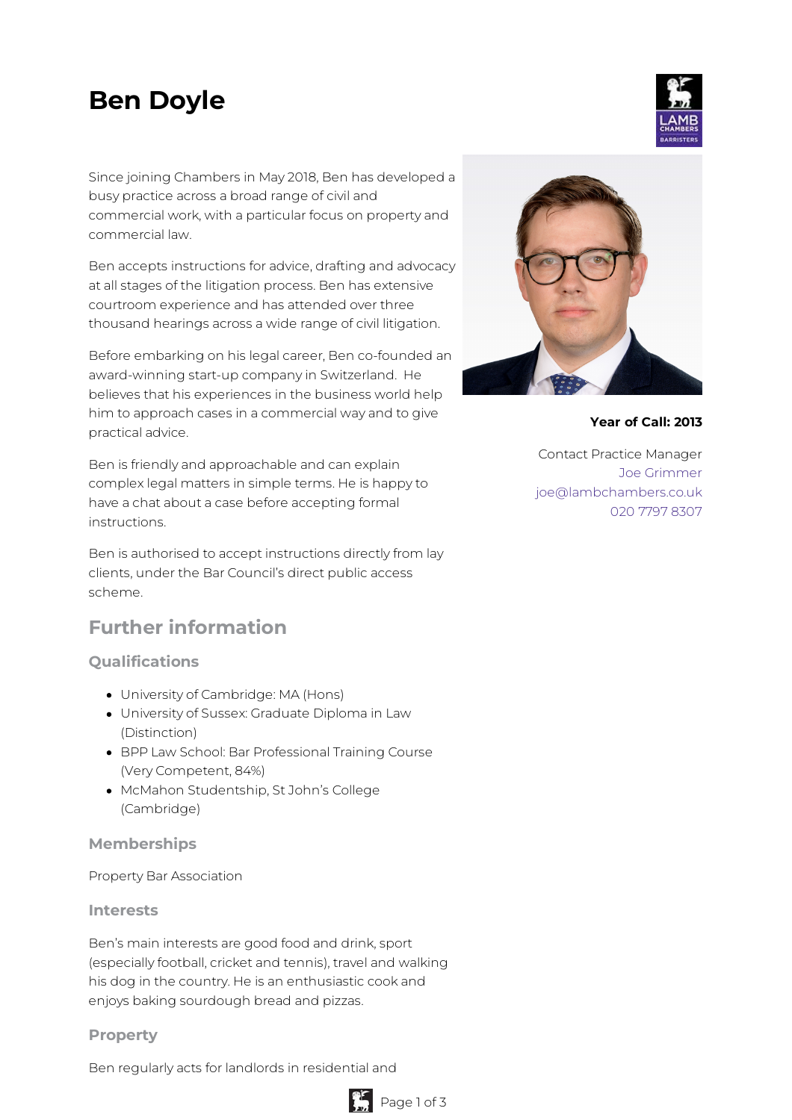# **Ben Doyle**

Since joining Chambers in May 2018, Ben has developed a busy practice across a broad range of civil and commercial work, with a particular focus on property and commercial law.

Ben accepts instructions for advice, drafting and advocacy at all stages of the litigation process. Ben has extensive courtroom experience and has attended over three thousand hearings across a wide range of civil litigation.

Before embarking on his legal career, Ben co-founded an award-winning start-up company in Switzerland. He believes that his experiences in the business world help him to approach cases in a commercial way and to give practical advice.

Ben is friendly and approachable and can explain complex legal matters in simple terms. He is happy to have a chat about a case before accepting formal instructions.

Ben is authorised to accept instructions directly from lay clients, under the Bar Council's direct public access scheme.

# **Further information**

## **Qualifications**

- University of Cambridge: MA (Hons)
- University of Sussex: Graduate Diploma in Law (Distinction)
- BPP Law School: Bar Professional Training Course (Very Competent, 84%)
- McMahon Studentship, St John's College (Cambridge)

#### **Memberships**

Property Bar Association

#### **Interests**

Ben's main interests are good food and drink, sport (especially football, cricket and tennis), travel and walking his dog in the country. He is an enthusiastic cook and enjoys baking sourdough bread and pizzas.

#### **Property**

Ben regularly acts for landlords in residential and



#### **Year of Call: 2013**

Contact Practice Manager Joe [Grimmer](mailto:joe@lambchambers.co.uk) [joe@lambchambers.co.uk](mailto:joe@lambchambers.co.uk) 020 7797 [8307](tel:020%207797%208307)



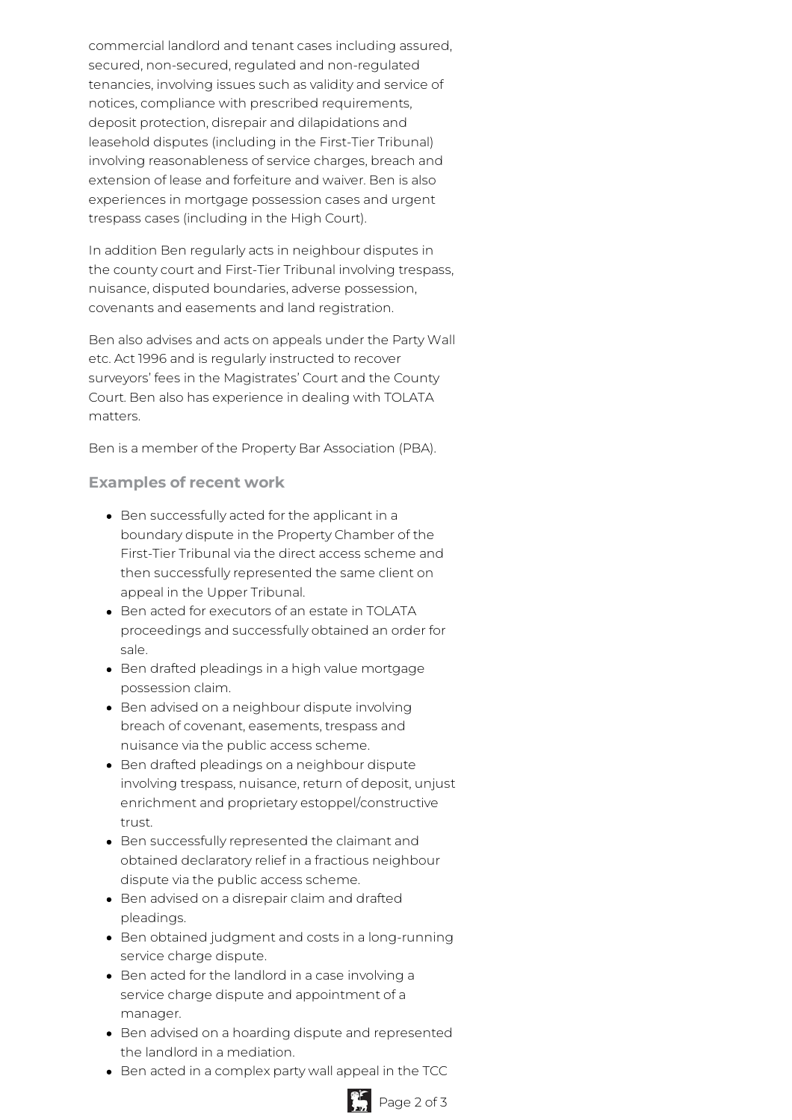commercial landlord and tenant cases including assured, secured, non-secured, regulated and non-regulated tenancies, involving issues such as validity and service of notices, compliance with prescribed requirements, deposit protection, disrepair and dilapidations and leasehold disputes (including in the First-Tier Tribunal) involving reasonableness of service charges, breach and extension of lease and forfeiture and waiver. Ben is also experiences in mortgage possession cases and urgent trespass cases (including in the High Court).

In addition Ben regularly acts in neighbour disputes in the county court and First-Tier Tribunal involving trespass, nuisance, disputed boundaries, adverse possession, covenants and easements and land registration.

Ben also advises and acts on appeals under the Party Wall etc. Act 1996 and is regularly instructed to recover surveyors' fees in the Magistrates' Court and the County Court. Ben also has experience in dealing with TOLATA matters.

Ben is a member of the Property Bar Association (PBA).

### **Examples of recent work**

- Ben successfully acted for the applicant in a boundary dispute in the Property Chamber of the First-Tier Tribunal via the direct access scheme and then successfully represented the same client on appeal in the Upper Tribunal.
- Ben acted for executors of an estate in TOLATA proceedings and successfully obtained an order for sale.
- Ben drafted pleadings in a high value mortgage possession claim.
- Ben advised on a neighbour dispute involving breach of covenant, easements, trespass and nuisance via the public access scheme.
- Ben drafted pleadings on a neighbour dispute involving trespass, nuisance, return of deposit, unjust enrichment and proprietary estoppel/constructive trust.
- Ben successfully represented the claimant and obtained declaratory relief in a fractious neighbour dispute via the public access scheme.
- Ben advised on a disrepair claim and drafted pleadings.
- Ben obtained judgment and costs in a long-running service charge dispute.
- Ben acted for the landlord in a case involving a service charge dispute and appointment of a manager.
- Ben advised on a hoarding dispute and represented the landlord in a mediation.
- Ben acted in a complex party wall appeal in the TCC